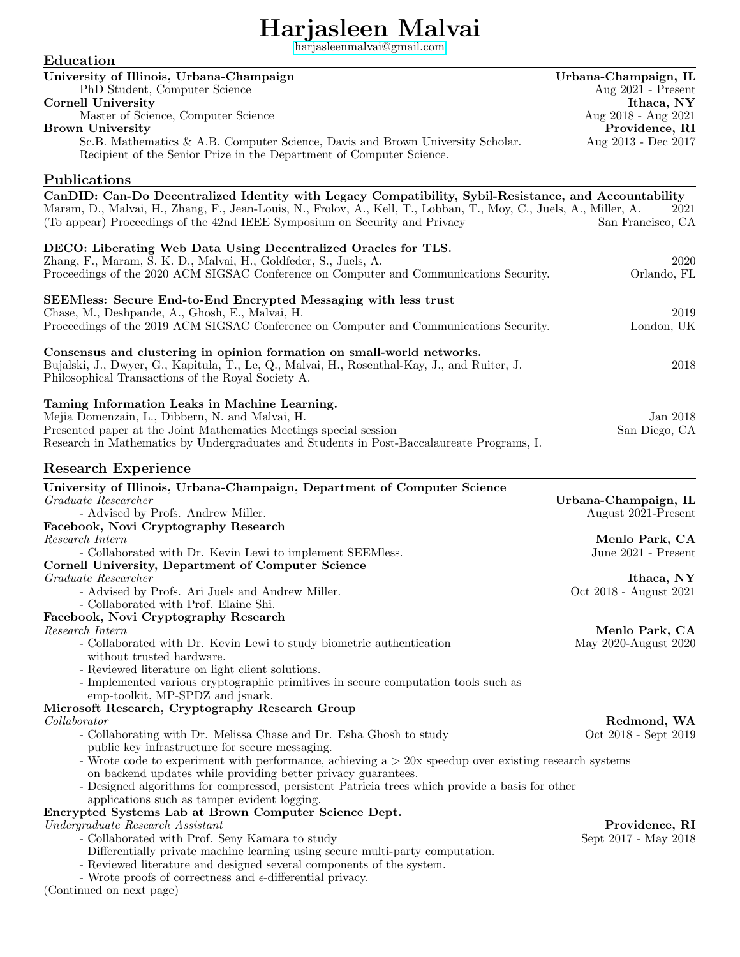# Harjasleen Malvai

[harjasleenmalvai@gmail.com](mailto:harjasleenmalvai@gmail.com)

| Education                                                                                                                                                                                                                                                                                                 |                                        |
|-----------------------------------------------------------------------------------------------------------------------------------------------------------------------------------------------------------------------------------------------------------------------------------------------------------|----------------------------------------|
| University of Illinois, Urbana-Champaign                                                                                                                                                                                                                                                                  | Urbana-Champaign, IL                   |
| PhD Student, Computer Science                                                                                                                                                                                                                                                                             | Aug 2021 - Present                     |
| <b>Cornell University</b><br>Master of Science, Computer Science                                                                                                                                                                                                                                          | Ithaca, NY<br>Aug 2018 - Aug 2021      |
| <b>Brown University</b>                                                                                                                                                                                                                                                                                   | Providence, RI                         |
| Sc.B. Mathematics & A.B. Computer Science, Davis and Brown University Scholar.<br>Recipient of the Senior Prize in the Department of Computer Science.                                                                                                                                                    | Aug 2013 - Dec 2017                    |
| Publications                                                                                                                                                                                                                                                                                              |                                        |
| CanDID: Can-Do Decentralized Identity with Legacy Compatibility, Sybil-Resistance, and Accountability<br>Maram, D., Malvai, H., Zhang, F., Jean-Louis, N., Frolov, A., Kell, T., Lobban, T., Moy, C., Juels, A., Miller, A.<br>(To appear) Proceedings of the 42nd IEEE Symposium on Security and Privacy | 2021<br>San Francisco, CA              |
| DECO: Liberating Web Data Using Decentralized Oracles for TLS.<br>Zhang, F., Maram, S. K. D., Malvai, H., Goldfeder, S., Juels, A.                                                                                                                                                                        | 2020                                   |
| Proceedings of the 2020 ACM SIGSAC Conference on Computer and Communications Security.                                                                                                                                                                                                                    | Orlando, FL                            |
| SEEMless: Secure End-to-End Encrypted Messaging with less trust                                                                                                                                                                                                                                           |                                        |
| Chase, M., Deshpande, A., Ghosh, E., Malvai, H.                                                                                                                                                                                                                                                           | 2019                                   |
| Proceedings of the 2019 ACM SIGSAC Conference on Computer and Communications Security.                                                                                                                                                                                                                    | London, UK                             |
| Consensus and clustering in opinion formation on small-world networks.<br>Bujalski, J., Dwyer, G., Kapitula, T., Le, Q., Malvai, H., Rosenthal-Kay, J., and Ruiter, J.<br>Philosophical Transactions of the Royal Society A.                                                                              | 2018                                   |
| Taming Information Leaks in Machine Learning.                                                                                                                                                                                                                                                             |                                        |
| Mejia Domenzain, L., Dibbern, N. and Malvai, H.                                                                                                                                                                                                                                                           | Jan 2018                               |
| Presented paper at the Joint Mathematics Meetings special session<br>Research in Mathematics by Undergraduates and Students in Post-Baccalaureate Programs, I.                                                                                                                                            | San Diego, CA                          |
| Research Experience                                                                                                                                                                                                                                                                                       |                                        |
| University of Illinois, Urbana-Champaign, Department of Computer Science                                                                                                                                                                                                                                  |                                        |
| Graduate Researcher                                                                                                                                                                                                                                                                                       | Urbana-Champaign, IL                   |
| - Advised by Profs. Andrew Miller.<br>Facebook, Novi Cryptography Research                                                                                                                                                                                                                                | August 2021-Present                    |
| Research Intern                                                                                                                                                                                                                                                                                           | Menlo Park, CA                         |
| - Collaborated with Dr. Kevin Lewi to implement SEEMless.                                                                                                                                                                                                                                                 | June 2021 - Present                    |
| Cornell University, Department of Computer Science                                                                                                                                                                                                                                                        |                                        |
| Graduate Researcher<br>- Advised by Profs. Ari Juels and Andrew Miller.                                                                                                                                                                                                                                   | Ithaca, NY<br>Oct 2018 - August 2021   |
| - Collaborated with Prof. Elaine Shi.                                                                                                                                                                                                                                                                     |                                        |
| Facebook, Novi Cryptography Research                                                                                                                                                                                                                                                                      |                                        |
| Research Intern<br>- Collaborated with Dr. Kevin Lewi to study biometric authentication                                                                                                                                                                                                                   | Menlo Park, CA<br>May 2020-August 2020 |
| without trusted hardware.                                                                                                                                                                                                                                                                                 |                                        |
| - Reviewed literature on light client solutions.                                                                                                                                                                                                                                                          |                                        |
| - Implemented various cryptographic primitives in secure computation tools such as                                                                                                                                                                                                                        |                                        |
| emp-toolkit, MP-SPDZ and jsnark.<br>Microsoft Research, Cryptography Research Group                                                                                                                                                                                                                       |                                        |
| Collaborator                                                                                                                                                                                                                                                                                              | Redmond, WA                            |
| - Collaborating with Dr. Melissa Chase and Dr. Esha Ghosh to study                                                                                                                                                                                                                                        | Oct 2018 - Sept 2019                   |
| public key infrastructure for secure messaging.<br>- Wrote code to experiment with performance, achieving $a > 20x$ speedup over existing research systems                                                                                                                                                |                                        |
| on backend updates while providing better privacy guarantees.                                                                                                                                                                                                                                             |                                        |
| - Designed algorithms for compressed, persistent Patricia trees which provide a basis for other                                                                                                                                                                                                           |                                        |
| applications such as tamper evident logging.                                                                                                                                                                                                                                                              |                                        |
| Encrypted Systems Lab at Brown Computer Science Dept.<br>Undergraduate Research Assistant                                                                                                                                                                                                                 | Providence, RI                         |
| - Collaborated with Prof. Seny Kamara to study                                                                                                                                                                                                                                                            | Sept 2017 - May 2018                   |
| Differentially private machine learning using secure multi-party computation.                                                                                                                                                                                                                             |                                        |
| - Reviewed literature and designed several components of the system.<br>- Wrote proofs of correctness and $\epsilon$ -differential privacy.                                                                                                                                                               |                                        |
| (Continued on next page)                                                                                                                                                                                                                                                                                  |                                        |
|                                                                                                                                                                                                                                                                                                           |                                        |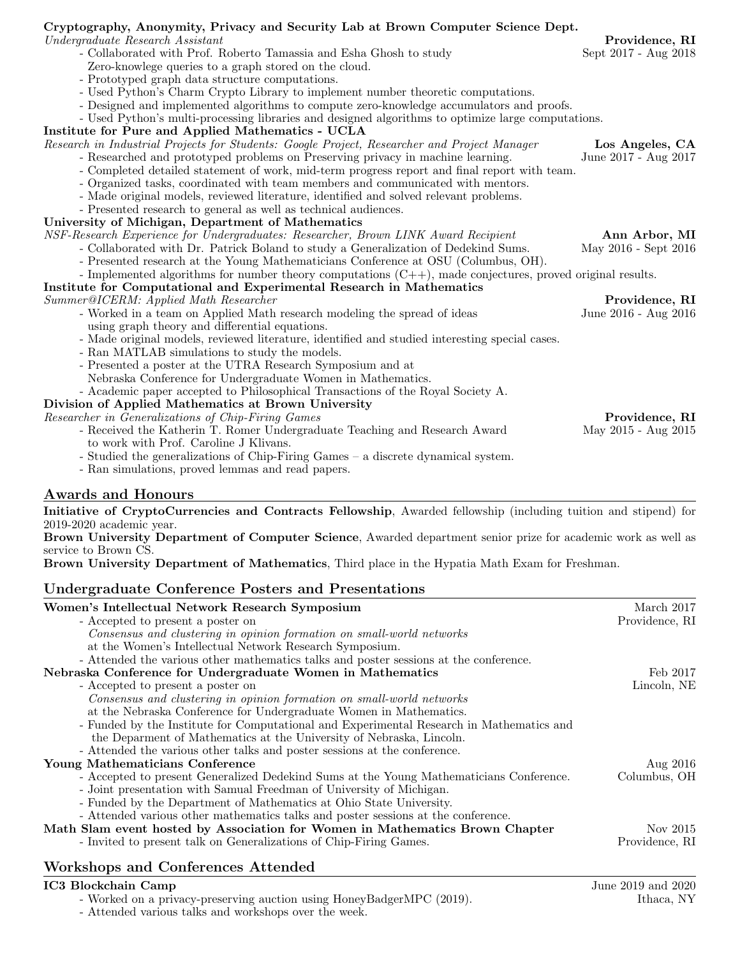#### Cryptography, Anonymity, Privacy and Security Lab at Brown Computer Science Dept. Undergraduate Research Assistant Providence, RI - Collaborated with Prof. Roberto Tamassia and Esha Ghosh to study Sept 2017 - Aug 2018 Zero-knowlege queries to a graph stored on the cloud. - Prototyped graph data structure computations. - Used Python's Charm Crypto Library to implement number theoretic computations. - Designed and implemented algorithms to compute zero-knowledge accumulators and proofs. - Used Python's multi-processing libraries and designed algorithms to optimize large computations. Institute for Pure and Applied Mathematics - UCLA Research in Industrial Projects for Students: Google Project, Researcher and Project Manager **Los Angeles, CA** - Researched and prototyped problems on Preserving privacy in machine learning. June 2017 - Aug 2017 - Completed detailed statement of work, mid-term progress report and final report with team. - Organized tasks, coordinated with team members and communicated with mentors. - Made original models, reviewed literature, identified and solved relevant problems. - Presented research to general as well as technical audiences. University of Michigan, Department of Mathematics NSF-Research Experience for Undergraduates: Researcher, Brown LINK Award Recipient **Ann Arbor, MI** - Collaborated with Dr. Patrick Boland to study a Generalization of Dedekind Sums. May 2016 - Sept 2016 - Presented research at the Young Mathematicians Conference at OSU (Columbus, OH). - Implemented algorithms for number theory computations (C++), made conjectures, proved original results. Institute for Computational and Experimental Research in Mathematics Summer@ICERM: Applied Math Researcher **Providence**, **RI**<br>Worked in a team on Applied Math research modeling the spread of ideas June 2016 - Aug 2016 - Worked in a team on Applied Math research modeling the spread of ideas using graph theory and differential equations. - Made original models, reviewed literature, identified and studied interesting special cases. - Ran MATLAB simulations to study the models. - Presented a poster at the UTRA Research Symposium and at Nebraska Conference for Undergraduate Women in Mathematics. - Academic paper accepted to Philosophical Transactions of the Royal Society A. Division of Applied Mathematics at Brown University Researcher in Generalizations of Chip-Firing Games **Providence, RI** Providence, RI - Received the Katherin T. Romer Undergraduate Teaching and Research Award May 2015 - Aug 2015

- to work with Prof. Caroline J Klivans.
- Studied the generalizations of Chip-Firing Games a discrete dynamical system.
- Ran simulations, proved lemmas and read papers.

### Awards and Honours

Initiative of CryptoCurrencies and Contracts Fellowship, Awarded fellowship (including tuition and stipend) for 2019-2020 academic year.

Brown University Department of Computer Science, Awarded department senior prize for academic work as well as service to Brown CS.

Brown University Department of Mathematics, Third place in the Hypatia Math Exam for Freshman.

### Undergraduate Conference Posters and Presentations

| Women's Intellectual Network Research Symposium                                          | March 2017     |
|------------------------------------------------------------------------------------------|----------------|
| - Accepted to present a poster on                                                        | Providence, RI |
| Consensus and clustering in opinion formation on small-world networks                    |                |
| at the Women's Intellectual Network Research Symposium.                                  |                |
| - Attended the various other mathematics talks and poster sessions at the conference.    |                |
| Nebraska Conference for Undergraduate Women in Mathematics                               | Feb 2017       |
| - Accepted to present a poster on                                                        | Lincoln, NE    |
| Consensus and clustering in opinion formation on small-world networks                    |                |
| at the Nebraska Conference for Undergraduate Women in Mathematics.                       |                |
| - Funded by the Institute for Computational and Experimental Research in Mathematics and |                |
| the Deparment of Mathematics at the University of Nebraska, Lincoln.                     |                |
| - Attended the various other talks and poster sessions at the conference.                |                |
| Young Mathematicians Conference                                                          | Aug 2016       |
| - Accepted to present Generalized Dedekind Sums at the Young Mathematicians Conference.  | Columbus, OH   |
| - Joint presentation with Samual Freedman of University of Michigan.                     |                |
| - Funded by the Department of Mathematics at Ohio State University.                      |                |
| - Attended various other mathematics talks and poster sessions at the conference.        |                |
| Math Slam event hosted by Association for Women in Mathematics Brown Chapter             | Nov 2015       |
| - Invited to present talk on Generalizations of Chip-Firing Games.                       | Providence, RI |
| Workshops and Conferences Attended                                                       |                |

## Workshops and Conferences Attended

**IC3 Blockchain Camp** June 2019 and 2020 - Worked on a privacy-preserving auction using HoneyBadgerMPC (2019). Ithaca, NY

- Attended various talks and workshops over the week.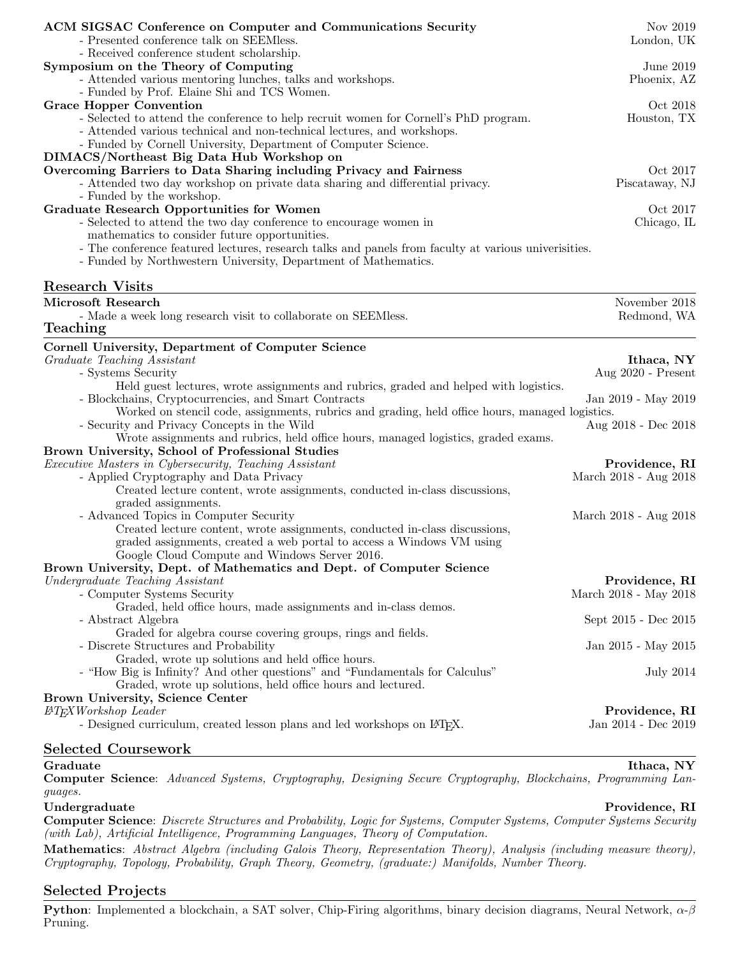| ACM SIGSAC Conference on Computer and Communications Security<br>- Presented conference talk on SEEMless.                                                                                                                                                                                                                                        | Nov 2019<br>London, UK                      |
|--------------------------------------------------------------------------------------------------------------------------------------------------------------------------------------------------------------------------------------------------------------------------------------------------------------------------------------------------|---------------------------------------------|
| - Received conference student scholarship.<br>Symposium on the Theory of Computing<br>- Attended various mentoring lunches, talks and workshops.<br>- Funded by Prof. Elaine Shi and TCS Women.                                                                                                                                                  | June 2019<br>Phoenix, AZ                    |
| <b>Grace Hopper Convention</b><br>- Selected to attend the conference to help recruit women for Cornell's PhD program.<br>- Attended various technical and non-technical lectures, and workshops.<br>- Funded by Cornell University, Department of Computer Science.<br>DIMACS/Northeast Big Data Hub Workshop on                                | Oct 2018<br>Houston, TX                     |
| Overcoming Barriers to Data Sharing including Privacy and Fairness<br>- Attended two day workshop on private data sharing and differential privacy.<br>- Funded by the workshop.                                                                                                                                                                 | Oct 2017<br>Piscataway, NJ                  |
| <b>Graduate Research Opportunities for Women</b><br>- Selected to attend the two day conference to encourage women in<br>mathematics to consider future opportunities.<br>- The conference featured lectures, research talks and panels from faculty at various universities.<br>- Funded by Northwestern University, Department of Mathematics. | Oct 2017<br>Chicago, IL                     |
| <b>Research Visits</b>                                                                                                                                                                                                                                                                                                                           |                                             |
| Microsoft Research<br>- Made a week long research visit to collaborate on SEEMless.<br>Teaching                                                                                                                                                                                                                                                  | November 2018<br>Redmond, WA                |
| Cornell University, Department of Computer Science<br>Graduate Teaching Assistant<br>- Systems Security                                                                                                                                                                                                                                          | Ithaca, NY<br>Aug 2020 - Present            |
| Held guest lectures, wrote assignments and rubrics, graded and helped with logistics.<br>- Blockchains, Cryptocurrencies, and Smart Contracts                                                                                                                                                                                                    | Jan 2019 - May 2019                         |
| Worked on stencil code, assignments, rubrics and grading, held office hours, managed logistics.<br>- Security and Privacy Concepts in the Wild<br>Wrote assignments and rubrics, held office hours, managed logistics, graded exams.                                                                                                             | Aug 2018 - Dec 2018                         |
| Brown University, School of Professional Studies<br><i>Executive Masters in Cybersecurity, Teaching Assistant</i><br>- Applied Cryptography and Data Privacy<br>Created lecture content, wrote assignments, conducted in-class discussions,                                                                                                      | Providence, RI<br>March 2018 - Aug 2018     |
| graded assignments.<br>- Advanced Topics in Computer Security<br>Created lecture content, wrote assignments, conducted in-class discussions,                                                                                                                                                                                                     | March 2018 - Aug 2018                       |
| graded assignments, created a web portal to access a Windows VM using<br>Google Cloud Compute and Windows Server 2016.<br>Brown University, Dept. of Mathematics and Dept. of Computer Science                                                                                                                                                   |                                             |
| Undergraduate Teaching Assistant<br>- Computer Systems Security<br>Graded, held office hours, made assignments and in-class demos.                                                                                                                                                                                                               | Providence, RI<br>March 2018 - May $2018\,$ |
| - Abstract Algebra                                                                                                                                                                                                                                                                                                                               | Sept 2015 - Dec 2015                        |
| Graded for algebra course covering groups, rings and fields.<br>- Discrete Structures and Probability                                                                                                                                                                                                                                            | Jan 2015 - May 2015                         |
| Graded, wrote up solutions and held office hours.<br>- "How Big is Infinity? And other questions" and "Fundamentals for Calculus"<br>Graded, wrote up solutions, held office hours and lectured.                                                                                                                                                 | <b>July 2014</b>                            |
| Brown University, Science Center<br><b>ETEXWorkshop</b> Leader<br>- Designed curriculum, created lesson plans and led workshops on IATFX.                                                                                                                                                                                                        | Providence, RI<br>Jan 2014 - Dec 2019       |
| <b>Selected Coursework</b>                                                                                                                                                                                                                                                                                                                       |                                             |

#### $\bf{Graduate} \color{black}$  . Thaca,  $\bf{NY}$

Computer Science: Advanced Systems, Cryptography, Designing Secure Cryptography, Blockchains, Programming Languages.

#### Undergraduate Providence, RI

Computer Science: Discrete Structures and Probability, Logic for Systems, Computer Systems, Computer Systems Security (with Lab), Artificial Intelligence, Programming Languages, Theory of Computation.

Mathematics: Abstract Algebra (including Galois Theory, Representation Theory), Analysis (including measure theory), Cryptography, Topology, Probability, Graph Theory, Geometry, (graduate:) Manifolds, Number Theory.

#### Selected Projects

Python: Implemented a blockchain, a SAT solver, Chip-Firing algorithms, binary decision diagrams, Neural Network,  $\alpha$ - $\beta$ Pruning.